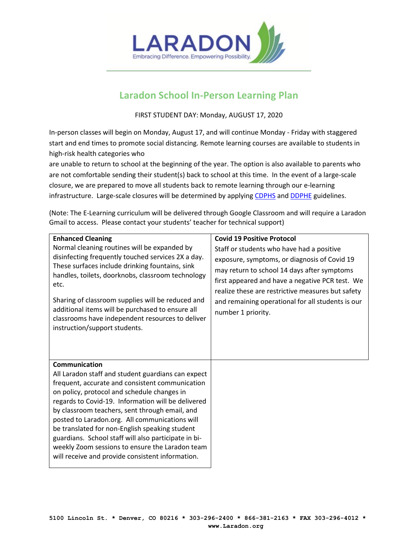

# **Laradon School In-Person Learning Plan**

FIRST STUDENT DAY: Monday, AUGUST 17, 2020

In-person classes will begin on Monday, August 17, and will continue Monday - Friday with staggered start and end times to promote social distancing. Remote learning courses are available to students in high-risk health categories who

are unable to return to school at the beginning of the year. The option is also available to parents who are not comfortable sending their student(s) back to school at this time. In the event of a large-scale closure, we are prepared to move all students back to remote learning through our e-learning infrastructure. Large-scale closures will be determined by applying [CDPHS](https://covid19.colorado.gov/practical-guide-for-operationalizing-cdc-school-guidance) an[d DDPHE](https://www.denvergov.org/content/dam/denvergov/Portals/771/documents/PHI/child-care/CommunityOutreachOutline_UPDATED.pdf) guidelines.

(Note: The E-Learning curriculum will be delivered through Google Classroom and will require a Laradon Gmail to access. Please contact your students' teacher for technical support)

| <b>Enhanced Cleaning</b><br>Normal cleaning routines will be expanded by<br>disinfecting frequently touched services 2X a day.<br>These surfaces include drinking fountains, sink<br>handles, toilets, doorknobs, classroom technology<br>etc.<br>Sharing of classroom supplies will be reduced and<br>additional items will be purchased to ensure all<br>classrooms have independent resources to deliver<br>instruction/support students.                                                                                                     | <b>Covid 19 Positive Protocol</b><br>Staff or students who have had a positive<br>exposure, symptoms, or diagnosis of Covid 19<br>may return to school 14 days after symptoms<br>first appeared and have a negative PCR test. We<br>realize these are restrictive measures but safety<br>and remaining operational for all students is our<br>number 1 priority. |
|--------------------------------------------------------------------------------------------------------------------------------------------------------------------------------------------------------------------------------------------------------------------------------------------------------------------------------------------------------------------------------------------------------------------------------------------------------------------------------------------------------------------------------------------------|------------------------------------------------------------------------------------------------------------------------------------------------------------------------------------------------------------------------------------------------------------------------------------------------------------------------------------------------------------------|
| Communication<br>All Laradon staff and student guardians can expect<br>frequent, accurate and consistent communication<br>on policy, protocol and schedule changes in<br>regards to Covid-19. Information will be delivered<br>by classroom teachers, sent through email, and<br>posted to Laradon.org. All communications will<br>be translated for non-English speaking student<br>guardians. School staff will also participate in bi-<br>weekly Zoom sessions to ensure the Laradon team<br>will receive and provide consistent information. |                                                                                                                                                                                                                                                                                                                                                                  |